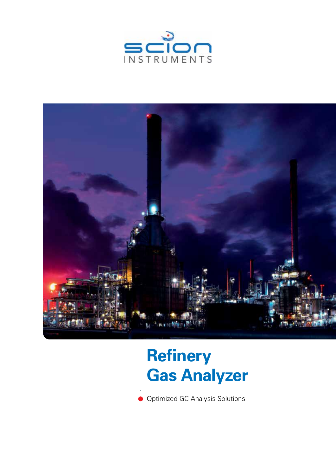



# **Refinery Refinery Gas Analyzer Gas Analyzer**

Optimized GC Analysis Solutions Optimized GC Analysis Solutions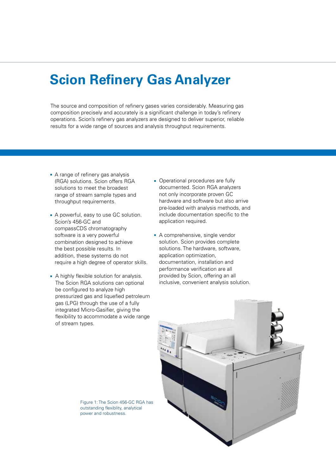## **Scion Refinery Gas Analyzer**

The source and composition of refinery gases varies considerably. Measuring gas The source and composition of refinery gases varies considerably. Measuring gas composition precisely and accurately is a significant challenge in today's refinery composition precisely and accurately is a significant challenge in today's refinery operations. Scion's refinery gas analyzers are designed to deliver superior, reliable results for a wide range of sources and analysis throughput requirements. results for a wide range of sources and analysis throughput requirements.

- A range of refinery gas analysis A range of refinery gas analysis (RGA) solutions. Scion offers RGA solutions to meet the broadest solutions to meet the broadest range of stream sample types and throughput requirements. throughput requirements.
- A powerful, easy to use GC solution.<br>Scion's 456-GC and Scion's 456-GC and CompassCDS chromatography compassCDS chromatography software is a very powerful software is a powerful combination designed to achieve combination designed to achieve the best possible results. In the best possible results. In addition, these systems do not addition, these systems do not require a high degree of operator skills. require a high degree of operator skills.
- A highly flexible solution for analysis. A highly flexible solution for analysis. The Scion RGA solutions can optional be configured to analyze high be configured to analyze high pressurized gas and liquefied petroleum pressurized gas and liquefied petroleum gas (LPG) through the use of a fully gas (LPG) through the use of a fully integrated Micro-Gasifier, giving the integrated Micro-Gasifier, giving the flexibility to accommodate a wide range flexibility to accommodate a wide range of stream types. of stream types.
- Operational procedures are fully Operational procedures are fully documented. Scion RGA analyzers not only incorporate proven GC not only incorporate proven GC hardware and software but also arrive hardware and software but also arrive pre-loaded with analysis methods, and pre-loaded with analysis methods, and include documentation specific to the include documentation specific to the application required. application required.
- A comprehensive, single vendor A comprehensive, single vendor solution. Scion provides complete solutions. The hardware, software, solutions. The hardware, software, application optimization, application optimization, documentation, installation and documentation, installation and performance verification are all performance verification are all provided by Scion, offering an all inclusive, convenient analysis solution.



Figure 1: The Scion 456-GC RGA has outstanding flexiblity, analytical outstanding flexiblity, analytical power and robustness. power and robustness.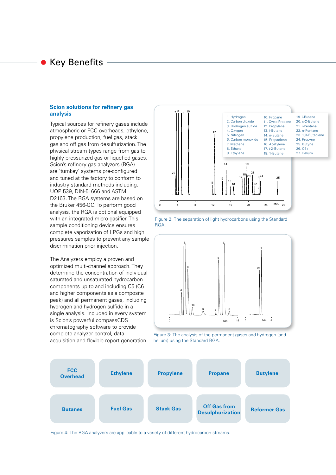### Key Benefits

#### **Scion solutions for refinery gas analysis analysis**

Typical sources for refinery gases include Typical sources refinery gases include atmospheric or FCC overheads, ethylene, atmospheric or FCC overheads, ethylene, propylene production, fuel gas, stack propylene production, fuel gas, stack gas and off gas from desulfurization. The from desulfurization. The physical stream types range from gas to highly pressurized gas or liquefied gases. Scion's refinery gas analyzers (RGA) are 'turnkey' systems pre-configured are 'turnkey' systems pre-configured and tuned at the factory to conform to industry standard methods including: industry standard methods including: UOP 539, DIN-51666 and ASTM DIN-51666 and ASTM D2163. The RGA systems are based on the Bruker 456-GC. To perform good 456-GC. To perform good analysis, the RGA is optional equipped is optional equipped with an integrated micro-gasifier. This with an integrated micro-gasifier. This sample conditioning device ensures sample conditioning device ensures complete vaporization of LPGs and high complete vaporization of LPGs and high pressures samples to prevent any sample pressures samples to prevent any sample discrimination prior injection. discrimination prior injection.

The Analyzers employ a proven and The Analyzers employ a proven and optimized multi-channel approach. They optimized multi-channel approach. They determine the concentration of individual determine the concentration of individual saturated and unsaturated hydrocarbon saturated and unsaturated hydrocarbon components up to and including C5 (C6 components up to and including C5 (C6 and higher components as a composite and higher components as a composite peak) and all permanent gases, including peak) and all permanent gases, including hydrogen and hydrogen sulfide in a hydrogen and hydrogen sulfide in a single analysis. Included in every system single analysis. Included in every system is Bruker's powerful CompassCDS is Scion's powerful compassCDS chromatography software to provide chromatography software to provide<br>controlate analyzer control, data acquisition and flexible report generation. acquisition and flexible report generation. complete analyzer control, data











Figure 4: The RGA analyzers are applicable to a variety of different hydrocarbon streams.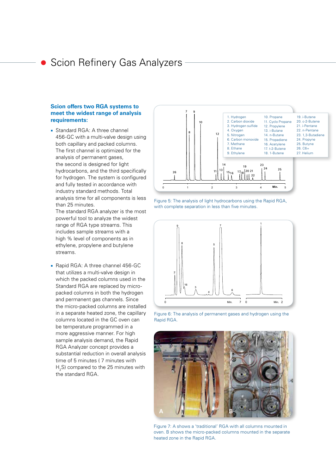### Scion Refinery Gas Analyzers

#### **Bruker offers two RGA systems to Scion offers two RGA systems to meet the widest range of analysis meet the widest range of analysis requirements: requirements:**

Standard RGA: A three channel 456-GC with a multi-valve design using both capillary and packed columns. The first channel is optimized for the analysis of permanent gases, the second is designed for light hydrocarbons, and the third specifically for hydrogen. The system is configured and fully tested in accordance with industry standard methods. Total analysis time for all components is less than 25 minutes.

The standard RGA analyzer is the most powerful tool to analyze the widest range of RGA type streams. This includes sample streams with a high % level of components as in ethylene, propylene and butylene streams.

Rapid RGA: A three channel 456-GC that utilizes a multi-valve design in which the packed columns used in the Standard RGA are replaced by micropacked columns in both the hydrogen and permanent gas channels. Since the micro-packed columns are installed in a separate heated zone, the capillary columns located in the GC oven can be temperature programmed in a more aggressive manner. For high sample analysis demand, the Rapid RGA Analyzer concept provides a substantial reduction in overall analysis time of 5 minutes ( 7 minutes with H<sub>2</sub>S) compared to the 25 minutes with the standard RGA.



Figure 5: The analysis of light hydrocarbons using the Rapid RGA, with complete separation in less than five minutes.



Figure 6: The analysis of permanent gases and hydrogen using the Rapid RGA.



Figure 7: A shows a 'traditional' RGA with all columns mounted in oven. B shows the micro-packed columns mounted in the separate heated zone in the Rapid RGA.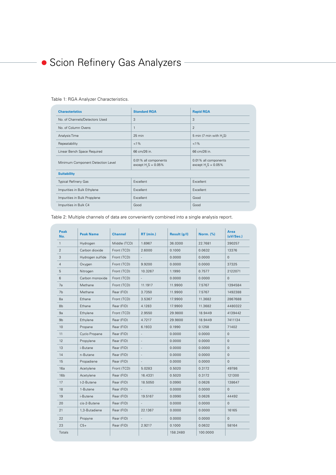#### Table 1: RGA Analyzer Characteristics.

| <b>Characteristics</b>            | <b>Standard RGA</b>                              | <b>Rapid RGA</b>                             |  |
|-----------------------------------|--------------------------------------------------|----------------------------------------------|--|
| No. of Channels/Detectors Used    | 3                                                | 3                                            |  |
| No. of Column Ovens               | 1                                                | $\overline{2}$                               |  |
| Analysis Time                     | 25 min                                           | 5 min (7 min with H <sub>2</sub> S)          |  |
| Repeatability                     | $< 1\%$                                          | $< 1\%$                                      |  |
| Linear Bench Space Required       | 66 cm/26 in.                                     | 66 cm/26 in.                                 |  |
| Minimum Component Detection Level | 0.01% all components<br>except $H_{2}S = 0.05\%$ | 0.01% all components<br>except $H2S = 0.05%$ |  |
| <b>Suitability</b>                |                                                  |                                              |  |
| <b>Typical Refinery Gas</b>       | Excellent                                        | Excellent                                    |  |
| Impurities in Bulk Ethylene       | Excellent                                        | Excellent                                    |  |
| Impurities in Bulk Propylene      | Excellent                                        | Good                                         |  |
| Impurities in Bulk C4             | Good                                             | Good                                         |  |

Table 2: Multiple channels of data are conveniently combined into a single analysis report.

| <b>Peak</b><br>No. | <b>Peak Name</b> | <b>Channel</b> | $RT$ (min.)              | Result (g/l) | <b>Norm.</b> (%) | Area<br>(uV/Sec.)   |
|--------------------|------------------|----------------|--------------------------|--------------|------------------|---------------------|
| $\mathbf{1}$       | Hydrogen         | Middle (TCD)   | 1.6967                   | 36.0300      | 22.7681          | 390257              |
| $\overline{2}$     | Carbon dioxide   | Front (TCD)    | 2.6000                   | 0.1000       | 0.0632           | 13376               |
| 3                  | Hydrogen sulfide | Front (TCD)    |                          | 0.0000       | 0.0000           | $\mathsf{O}\xspace$ |
| 4                  | Oxygen           | Front (TCD)    | 9.9200                   | 0.0000       | 0.0000           | 37325               |
| 5                  | Nitrogen         | Front (TCD)    | 10.3267                  | 1.1990       | 0.7577           | 2122071             |
| 6                  | Carbon monoxide  | Front (TCD)    | $\overline{\phantom{a}}$ | 0.0000       | 0.0000           | $\mathbf{0}$        |
| 7a                 | Methane          | Front (TCD)    | 11.1917                  | 11.9900      | 7.5767           | 1394584             |
| 7b                 | Methane          | Rear (FID)     | 3.7350                   | 11.9900      | 7.5767           | 1492388             |
| 8a                 | Ethane           | Front (TCD)    | 3.5367                   | 17.9900      | 11.3682          | 2867688             |
| 8b                 | Ethane           | Rear (FID)     | 4.1283                   | 17.9900      | 11.3682          | 4480322             |
| 9a                 | Ethylene         | Front (TCD)    | 2.9550                   | 29.9800      | 18.9449          | 4139442             |
| 9 <sub>b</sub>     | Ethylene         | Rear (FID)     | 4.7217                   | 29.9800      | 18.9449          | 7411134             |
| 10                 | Propane          | Rear (FID)     | 6.1933                   | 0.1990       | 0.1258           | 71402               |
| 11                 | Cyclo Propane    | Rear (FID)     | $\overline{\phantom{a}}$ | 0.0000       | 0.0000           | $\mathbf{0}$        |
| 12                 | Propylene        | Rear (FID)     | $\overline{\phantom{a}}$ | 0.0000       | 0.0000           | $\mathbf{0}$        |
| 13                 | i-Butane         | Rear (FID)     | $\overline{\phantom{a}}$ | 0.0000       | 0.0000           | $\mathsf{O}\xspace$ |
| 14                 | n-Butane         | Rear (FID)     | $\blacksquare$           | 0.0000       | 0.0000           | $\mathsf{O}\xspace$ |
| 15                 | Propadiene       | Rear (FID)     | $\overline{\phantom{a}}$ | 0.0000       | 0.0000           | $\mathbf{0}$        |
| 16a                | Acetylene        | Front (TCD)    | 5.0283                   | 0.5020       | 0.3172           | 49786               |
| 16 <sub>b</sub>    | Acetylene        | Rear (FID)     | 16.4331                  | 0.5020       | 0.3172           | 121300              |
| 17                 | t-2-Butene       | Rear (FID)     | 18.5050                  | 0.0990       | 0.0626           | 138647              |
| 18                 | 1-Butene         | Rear (FID)     |                          | 0.0000       | 0.0000           | $\mathbf{0}$        |
| 19                 | i-Butene         | Rear (FID)     | 19.5167                  | 0.0990       | 0.0626           | 44492               |
| 20                 | cis-2-Butene     | Rear (FID)     |                          | 0.0000       | 0.0000           | $\mathbf{0}$        |
| 21                 | 1,3-Butadiene    | Rear (FID)     | 22.1367                  | 0.0000       | 0.0000           | 16165               |
| 22                 | Propyne          | Rear (FID)     | $\overline{\phantom{a}}$ | 0.0000       | 0.0000           | $\mathbf{0}$        |
| 23                 | $C5+$            | Rear (FID)     | 2.9217                   | 0.1000       | 0.0632           | 58164               |
| Totals             |                  |                |                          | 158.2480     | 100.0000         |                     |